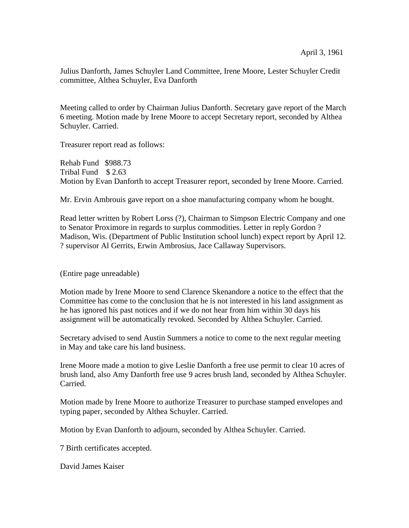Julius Danforth, James Schuyler Land Committee, Irene Moore, Lester Schuyler Credit committee, Althea Schuyler, Eva Danforth

Meeting called to order by Chairman Julius Danforth. Secretary gave report of the March 6 meeting. Motion made by Irene Moore to accept Secretary report, seconded by Althea Schuyler. Carried.

Treasurer report read as follows:

Rehab Fund \$988.73 Tribal Fund \$ 2.63 Motion by Evan Danforth to accept Treasurer report, seconded by Irene Moore. Carried.

Mr. Ervin Ambrouis gave report on a shoe manufacturing company whom he bought.

Read letter written by Robert Lorss (?), Chairman to Simpson Electric Company and one to Senator Proximore in regards to surplus commodities. Letter in reply Gordon ? Madison, Wis. (Department of Public Institution school lunch) expect report by April 12. ? supervisor Al Gerrits, Erwin Ambrosius, Jace Callaway Supervisors.

(Entire page unreadable)

Motion made by Irene Moore to send Clarence Skenandore a notice to the effect that the Committee has come to the conclusion that he is not interested in his land assignment as he has ignored his past notices and if we do not hear from him within 30 days his assignment will be automatically revoked. Seconded by Althea Schuyler. Carried.

Secretary advised to send Austin Summers a notice to come to the next regular meeting in May and take care his land business.

Irene Moore made a motion to give Leslie Danforth a free use permit to clear 10 acres of brush land, also Amy Danforth free use 9 acres brush land, seconded by Althea Schuyler. Carried.

Motion made by Irene Moore to authorize Treasurer to purchase stamped envelopes and typing paper, seconded by Althea Schuyler. Carried.

Motion by Evan Danforth to adjourn, seconded by Althea Schuyler. Carried.

7 Birth certificates accepted.

David James Kaiser